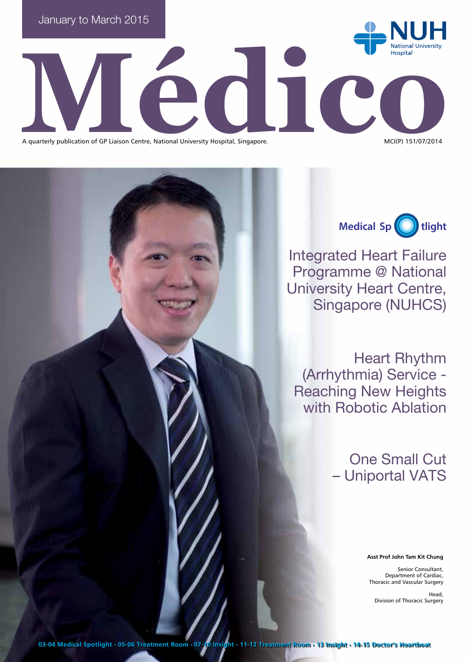

 $\sum_{\text{occ.}}$ A quarterly publication of GP Liaison Centre, National University Hospital, Singapore.

**Medical Sp tlight**

Integrated Heart Failure Programme @ National University Heart Centre, Singapore (NUHCS)

Heart Rhythm (Arrhythmia) Service - Reaching New Heights with Robotic Ablation

> One Small Cut – Uniportal VATS

> > **Asst Prof John Tam Kit Chung**

Senior Consultant, Department of Cardiac, Thoracic and Vascular Surgery

Head, Division of Thoracic Surgery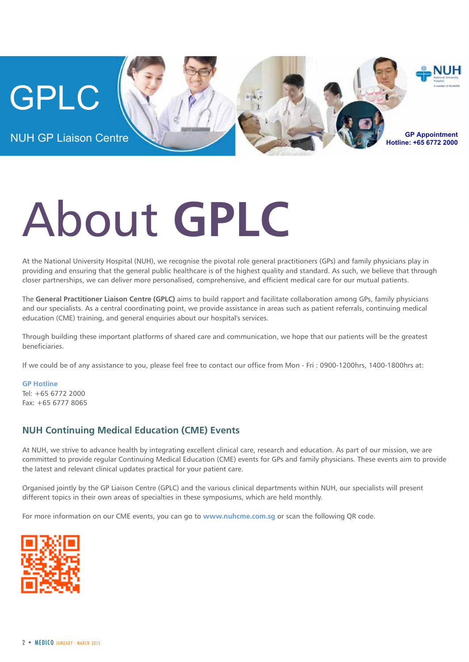

# About **GPLC**

At the National University Hospital (NUH), we recognise the pivotal role general practitioners (GPs) and family physicians play in providing and ensuring that the general public healthcare is of the highest quality and standard. As such, we believe that through closer partnerships, we can deliver more personalised, comprehensive, and efficient medical care for our mutual patients.

The **General Practitioner Liaison Centre (GPLC)** aims to build rapport and facilitate collaboration among GPs, family physicians and our specialists. As a central coordinating point, we provide assistance in areas such as patient referrals, continuing medical education (CME) training, and general enquiries about our hospital's services.

Through building these important platforms of shared care and communication, we hope that our patients will be the greatest beneficiaries.

If we could be of any assistance to you, please feel free to contact our office from Mon - Fri : 0900-1200hrs, 1400-1800hrs at:

**GP Hotline** Tel: +65 6772 2000 Fax: +65 6777 8065

#### **NUH Continuing Medical Education (CME) Events**

At NUH, we strive to advance health by integrating excellent clinical care, research and education. As part of our mission, we are committed to provide regular Continuing Medical Education (CME) events for GPs and family physicians. These events aim to provide the latest and relevant clinical updates practical for your patient care.

Organised jointly by the GP Liaison Centre (GPLC) and the various clinical departments within NUH, our specialists will present different topics in their own areas of specialties in these symposiums, which are held monthly.

For more information on our CME events, you can go to **www.nuhcme.com.sg** or scan the following QR code.

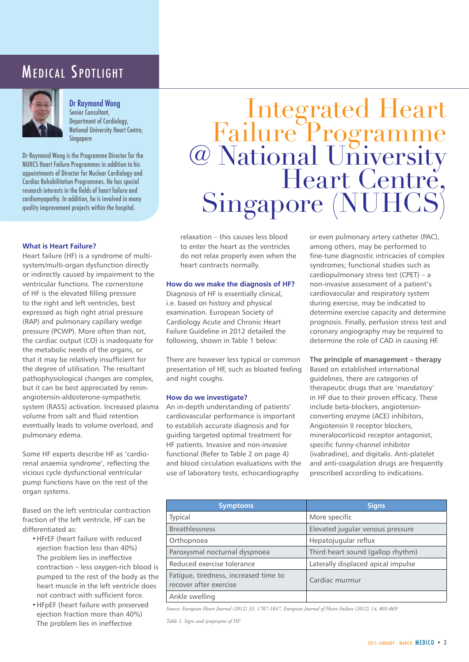### MEDICAL SPOTLIGHT



Dr Raymond Wong

Senior Consultant, Department of Cardiology, National University Heart Centre, Singapore

Dr Raymond Wong is the Programme Director for the NUHCS Heart Failure Programmes in addition to his appointments of Director for Nuclear Cardiology and Cardiac Rehabilitation Programmes. He has special research interests in the fields of heart failure and cardiomyopathy. In addition, he is involved in many quality improvement projects within the hospital.

#### **What is Heart Failure?**

Heart failure (HF) is a syndrome of multisystem/multi-organ dysfunction directly or indirectly caused by impairment to the ventricular functions. The cornerstone of HF is the elevated filling pressure to the right and left ventricles, best expressed as high right atrial pressure (RAP) and pulmonary capillary wedge pressure (PCWP). More often than not, the cardiac output (CO) is inadequate for the metabolic needs of the organs, or that it may be relatively insufficient for the degree of utilisation. The resultant pathophysiological changes are complex, but it can be best appreciated by reninangiotensin-aldosterone-sympathetic system (RASS) activation. Increased plasma volume from salt and fluid retention eventually leads to volume overload, and pulmonary edema.

Some HF experts describe HF as 'cardiorenal anaemia syndrome', reflecting the vicious cycle dysfunctional ventricular pump functions have on the rest of the organ systems.

Based on the left ventricular contraction fraction of the left ventricle, HF can be differentiated as:

- • HFrEF (heart failure with reduced ejection fraction less than 40%) The problem lies in ineffective contraction – less oxygen-rich blood is pumped to the rest of the body as the heart muscle in the left ventricle does not contract with sufficient force.
- • HFpEF (heart failure with preserved ejection fraction more than 40%) The problem lies in ineffective

# Integrated Heart Failure Programme @ National University Heart Centre, Singapore (NUHCS)

relaxation – this causes less blood to enter the heart as the ventricles do not relax properly even when the heart contracts normally.

#### **How do we make the diagnosis of HF?**

Diagnosis of HF is essentially clinical, i.e. based on history and physical examination. European Society of Cardiology Acute and Chronic Heart Failure Guideline in 2012 detailed the following, shown in Table 1 below:

There are however less typical or common presentation of HF, such as bloated feeling and night coughs.

#### **How do we investigate?**

An in-depth understanding of patients' cardiovascular performance is important to establish accurate diagnosis and for guiding targeted optimal treatment for HF patients. Invasive and non-invasive functional (Refer to Table 2 on page 4) and blood circulation evaluations with the use of laboratory tests, echocardiography

or even pulmonary artery catheter (PAC), among others, may be performed to fine-tune diagnostic intricacies of complex syndromes; functional studies such as cardiopulmonary stress test (CPET) – a non-invasive assessment of a patient's cardiovascular and respiratory system during exercise, may be indicated to determine exercise capacity and determine prognosis. Finally, perfusion stress test and coronary angiography may be required to determine the role of CAD in causing HF.

**The principle of management – therapy**

Based on established international guidelines, there are categories of therapeutic drugs that are 'mandatory' in HF due to their proven efficacy. These include beta-blockers, angiotensinconverting enzyme (ACE) inhibitors, Angiotensin II receptor blockers, mineralocorticoid receptor antagonist, specific funny-channel inhibitor (ivabradine), and digitalis. Anti-platelet and anti-coagulation drugs are frequently prescribed according to indications.

| <b>Symptoms</b>                                                 | <b>Signs</b>                       |
|-----------------------------------------------------------------|------------------------------------|
| Typical                                                         | More specific                      |
| <b>Breathlessness</b>                                           | Elevated jugular venous pressure   |
| Orthopnoea                                                      | Hepatojugular reflux               |
| Paroxysmal nocturnal dyspnoea                                   | Third heart sound (gallop rhythm)  |
| Reduced exercise tolerance                                      | Laterally displaced apical impulse |
| Fatigue, tiredness, increased time to<br>recover after exercise | Cardiac murmur                     |
| Ankle swelling                                                  |                                    |

*Source: European Heart Journal (2012) 33, 1787-1847, European Journal of Heart Failure (2012) 14, 803-869*

*Table 1. Signs and symptopms of HF*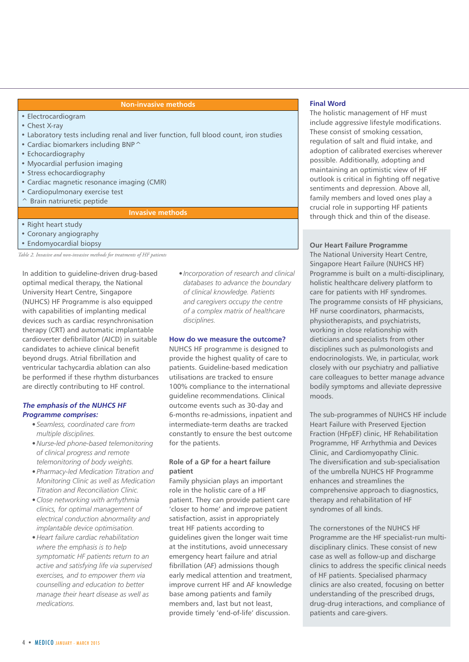#### **Non-invasive methods**

- Electrocardiogram
- Chest X-ray
- Laboratory tests including renal and liver function, full blood count, iron studies
- Cardiac biomarkers including BNP^
- Echocardiography
- Myocardial perfusion imaging
- Stress echocardiography
- Cardiac magnetic resonance imaging (CMR)
- Cardiopulmonary exercise test
- ^ Brain natriuretic peptide

#### **Invasive methods**

- Right heart study
- Coronary angiography
- Endomyocardial biopsy

*Table 2. Invasive and non-invasive methods for treatments of HF patients*

In addition to guideline-driven drug-based optimal medical therapy, the National University Heart Centre, Singapore (NUHCS) HF Programme is also equipped with capabilities of implanting medical devices such as cardiac resynchronisation therapy (CRT) and automatic implantable cardioverter defibrillator (AICD) in suitable candidates to achieve clinical benefit beyond drugs. Atrial fibrillation and ventricular tachycardia ablation can also be performed if these rhythm disturbances are directly contributing to HF control.

#### **The emphasis of the NUHCS HF Programme comprises:**

- *• Seamless, coordinated care from multiple disciplines.*
- *• Nurse-led phone-based telemonitoring of clinical progress and remote telemonitoring of body weights.*
- *• Pharmacy-led Medication Titration and Monitoring Clinic as well as Medication Titration and Reconciliation Clinic.*
- *• Close networking with arrhythmia clinics, for optimal management of electrical conduction abnormality and implantable device optimisation.*
- *• Heart failure cardiac rehabilitation where the emphasis is to help symptomatic HF patients return to an active and satisfying life via supervised exercises, and to empower them via counselling and education to better manage their heart disease as well as medications.*

*• Incorporation of research and clinical databases to advance the boundary of clinical knowledge. Patients and caregivers occupy the centre of a complex matrix of healthcare disciplines.*

#### **How do we measure the outcome?**

NUHCS HF programme is designed to provide the highest quality of care to patients. Guideline-based medication utilisations are tracked to ensure 100% compliance to the international guideline recommendations. Clinical outcome events such as 30-day and 6-months re-admissions, inpatient and intermediate-term deaths are tracked constantly to ensure the best outcome for the patients.

#### **Role of a GP for a heart failure patient**

Family physician plays an important role in the holistic care of a HF patient. They can provide patient care 'closer to home' and improve patient satisfaction, assist in appropriately treat HF patients according to guidelines given the longer wait time at the institutions, avoid unnecessary emergency heart failure and atrial fibrillation (AF) admissions though early medical attention and treatment, improve current HF and AF knowledge base among patients and family members and, last but not least, provide timely 'end-of-life' discussion.

#### **Final Word**

The holistic management of HF must include aggressive lifestyle modifications. These consist of smoking cessation, regulation of salt and fluid intake, and adoption of calibrated exercises wherever possible. Additionally, adopting and maintaining an optimistic view of HF outlook is critical in fighting off negative sentiments and depression. Above all, family members and loved ones play a crucial role in supporting HF patients through thick and thin of the disease.

#### **Our Heart Failure Programme**

The National University Heart Centre, Singapore Heart Failure (NUHCS HF) Programme is built on a multi-disciplinary, holistic healthcare delivery platform to care for patients with HF syndromes. The programme consists of HF physicians, HF nurse coordinators, pharmacists, physiotherapists, and psychiatrists, working in close relationship with dieticians and specialists from other disciplines such as pulmonologists and endocrinologists. We, in particular, work closely with our psychiatry and palliative care colleagues to better manage advance bodily symptoms and alleviate depressive moods.

The sub-programmes of NUHCS HF include Heart Failure with Preserved Ejection Fraction (HFpEF) clinic, HF Rehabilitation Programme, HF Arrhythmia and Devices Clinic, and Cardiomyopathy Clinic. The diversification and sub-specialisation of the umbrella NUHCS HF Programme enhances and streamlines the comprehensive approach to diagnostics, therapy and rehabilitation of HF syndromes of all kinds.

The cornerstones of the NUHCS HF Programme are the HF specialist-run multidisciplinary clinics. These consist of new case as well as follow-up and discharge clinics to address the specific clinical needs of HF patients. Specialised pharmacy clinics are also created, focusing on better understanding of the prescribed drugs, drug-drug interactions, and compliance of patients and care-givers.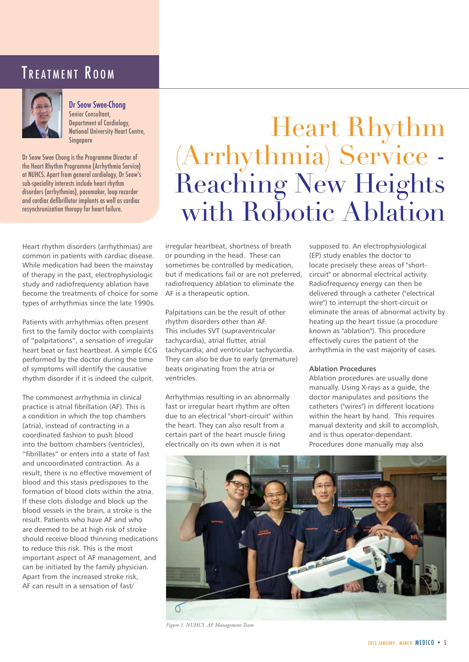### TREATMENT ROOM



Dr Seow Swee-Chong

Senior Consultant, Department of Cardiology, National University Heart Centre, Singapore

Dr Seow Swee Chong is the Programme Director of the Heart Rhythm Programme (Arrhythmia Service) at NUHCS. Apart from general cardiology, Dr Seow's sub-speciality interests include heart rhythm disorders (arrhythmias), pacemaker, loop recorder and cardiac defibrillator implants as well as cardiac resynchronization therapy for heart failure.

Heart rhythm disorders (arrhythmias) are common in patients with cardiac disease. While medication had been the mainstay of therapy in the past, electrophysiologic study and radiofrequency ablation have become the treatments of choice for some types of arrhythmias since the late 1990s.

Patients with arrhythmias often present first to the family doctor with complaints of "palpitations", a sensation of irregular heart beat or fast heartbeat. A simple ECG performed by the doctor during the time of symptoms will identify the causative rhythm disorder if it is indeed the culprit.

The commonest arrhythmia in clinical practice is atrial fibrillation (AF). This is a condition in which the top chambers (atria), instead of contracting in a coordinated fashion to push blood into the bottom chambers (ventricles), "fibrillates" or enters into a state of fast and uncoordinated contraction. As a result, there is no effective movement of blood and this stasis predisposes to the formation of blood clots within the atria. If these clots dislodge and block up the blood vessels in the brain, a stroke is the result. Patients who have AF and who are deemed to be at high risk of stroke should receive blood thinning medications to reduce this risk. This is the most important aspect of AF management, and can be initiated by the family physician. Apart from the increased stroke risk, AF can result in a sensation of fast/

# Heart Rhythm (Arrhythmia) Service - Reaching New Heights with Robotic Ablation

irregular heartbeat, shortness of breath or pounding in the head. These can sometimes be controlled by medication, but if medications fail or are not preferred, radiofrequency ablation to eliminate the AF is a therapeutic option.

Palpitations can be the result of other rhythm disorders other than AF. This includes SVT (supraventricular tachycardia), atrial flutter, atrial tachycardia; and ventricular tachycardia. They can also be due to early (premature) beats originating from the atria or ventricles.

Arrhythmias resulting in an abnormally fast or irregular heart rhythm are often due to an electrical "short-circuit" within the heart. They can also result from a certain part of the heart muscle firing electrically on its own when it is not

supposed to. An electrophysiological (EP) study enables the doctor to locate precisely these areas of "shortcircuit" or abnormal electrical activity. Radiofrequency energy can then be delivered through a catheter ("electrical wire") to interrupt the short-circuit or eliminate the areas of abnormal activity by heating up the heart tissue (a procedure known as "ablation"). This procedure effectively cures the patient of the arrhythmia in the vast majority of cases.

#### **Ablation Procedures**

Ablation procedures are usually done manually. Using X-rays as a guide, the doctor manipulates and positions the catheters ("wires") in different locations within the heart by hand. This requires manual dexterity and skill to accomplish, and is thus operator-dependant. Procedures done manually may also



*Figure 1. NUHCS AF Management Team*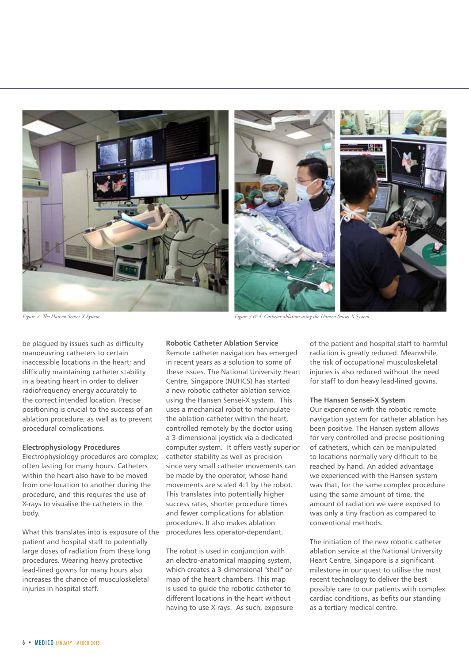

be plagued by issues such as difficulty manoeuvring catheters to certain inaccessible locations in the heart; and difficulty maintaining catheter stability in a beating heart in order to deliver radiofrequency energy accurately to the correct intended location. Precise positioning is crucial to the success of an ablation procedure; as well as to prevent procedural complications.

#### **Electrophysiology Procedures**

Electrophysiology procedures are complex; often lasting for many hours. Catheters within the heart also have to be moved from one location to another during the procedure, and this requires the use of X-rays to visualise the catheters in the body.

What this translates into is exposure of the patient and hospital staff to potentially large doses of radiation from these long procedures. Wearing heavy protective lead-lined gowns for many hours also increases the chance of musculoskeletal injuries in hospital staff.

**Robotic Catheter Ablation Service** Remote catheter navigation has emerged in recent years as a solution to some of these issues. The National University Heart Centre, Singapore (NUHCS) has started a new robotic catheter ablation service using the Hansen Sensei-X system. This uses a mechanical robot to manipulate the ablation catheter within the heart, controlled remotely by the doctor using a 3-dimensional joystick via a dedicated computer system. It offers vastly superior catheter stability as well as precision since very small catheter movements can be made by the operator, whose hand movements are scaled 4:1 by the robot. This translates into potentially higher success rates, shorter procedure times and fewer complications for ablation procedures. It also makes ablation procedures less operator-dependant.

The robot is used in conjunction with an electro-anatomical mapping system, which creates a 3-dimensional "shell" or map of the heart chambers. This map is used to guide the robotic catheter to different locations in the heart without having to use X-rays. As such, exposure

*Figure 2. The Hansen Sensei-X System Figure 3 & 4. Catheter ablation using the Hansen Sensei-X System*

of the patient and hospital staff to harmful radiation is greatly reduced. Meanwhile, the risk of occupational musculoskeletal injuries is also reduced without the need for staff to don heavy lead-lined gowns.

#### **The Hansen Sensei-X System**

Our experience with the robotic remote navigation system for catheter ablation has been positive. The Hansen system allows for very controlled and precise positioning of catheters, which can be manipulated to locations normally very difficult to be reached by hand. An added advantage we experienced with the Hansen system was that, for the same complex procedure using the same amount of time, the amount of radiation we were exposed to was only a tiny fraction as compared to conventional methods.

The initiation of the new robotic catheter ablation service at the National University Heart Centre, Singapore is a significant milestone in our quest to utilise the most recent technology to deliver the best possible care to our patients with complex cardiac conditions, as befits our standing as a tertiary medical centre.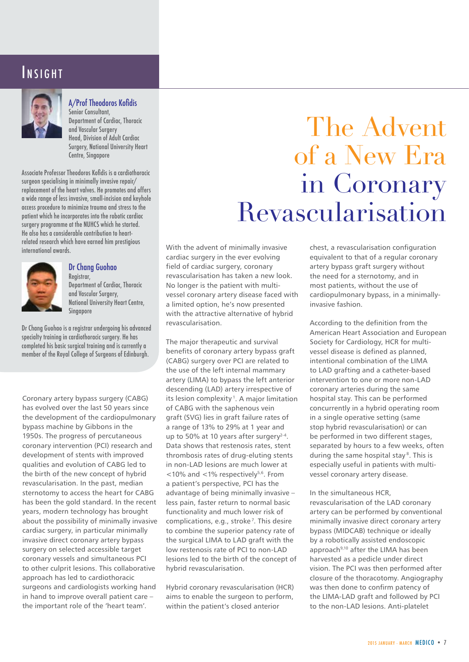### INSIGHT



#### A/Prof Theodoros Kofidis

Senior Consultant, Department of Cardiac, Thoracic and Vascular Surgery Head, Division of Adult Cardiac Surgery, National University Heart Centre, Singapore

Associate Professor Theodoros Kofidis is a cardiothoracic surgeon specialising in minimally invasive repair/ replacement of the heart valves. He promotes and offers a wide range of less invasive, small-incision and keyhole access procedure to minimize trauma and stress to the patient which he incorporates into the robotic cardiac surgery programme at the NUHCS which he started. He also has a considerable contribution to heartrelated research which have earned him prestigious international awards.



#### Dr Chang Guohao

Registrar. Department of Cardiac, Thoracic and Vascular Surgery, National University Heart Centre, Singapore

Dr Chang Guohao is a registrar undergoing his advanced specialty training in cardiothoracic surgery. He has completed his basic surgical training and is currently a member of the Royal College of Surgeons of Edinburgh.

Coronary artery bypass surgery (CABG) has evolved over the last 50 years since the development of the cardiopulmonary bypass machine by Gibbons in the 1950s. The progress of percutaneous coronary intervention (PCI) research and development of stents with improved qualities and evolution of CABG led to the birth of the new concept of hybrid revascularisation. In the past, median sternotomy to access the heart for CABG has been the gold standard. In the recent years, modern technology has brought about the possibility of minimally invasive cardiac surgery, in particular minimally invasive direct coronary artery bypass surgery on selected accessible target coronary vessels and simultaneous PCI to other culprit lesions. This collaborative approach has led to cardiothoracic surgeons and cardiologists working hand in hand to improve overall patient care – the important role of the 'heart team'.

# The Advent of a New Era in Coronary Revascularisation

With the advent of minimally invasive cardiac surgery in the ever evolving field of cardiac surgery, coronary revascularisation has taken a new look. No longer is the patient with multivessel coronary artery disease faced with a limited option, he's now presented with the attractive alternative of hybrid revascularisation.

The major therapeutic and survival benefits of coronary artery bypass graft (CABG) surgery over PCI are related to the use of the left internal mammary artery (LIMA) to bypass the left anterior descending (LAD) artery irrespective of its lesion complexity<sup>1</sup>. A major limitation of CABG with the saphenous vein graft (SVG) lies in graft failure rates of a range of 13% to 29% at 1 year and up to 50% at 10 years after surgery $2-4$ . Data shows that restenosis rates, stent thrombosis rates of drug-eluting stents in non-LAD lesions are much lower at  $10\%$  and  $1\%$  respectively<sup>5,6</sup>. From a patient's perspective, PCI has the advantage of being minimally invasive – less pain, faster return to normal basic functionality and much lower risk of complications, e.g., stroke<sup>7</sup>. This desire to combine the superior patency rate of the surgical LIMA to LAD graft with the low restenosis rate of PCI to non-LAD lesions led to the birth of the concept of hybrid revascularisation.

Hybrid coronary revascularisation (HCR) aims to enable the surgeon to perform, within the patient's closed anterior

chest, a revascularisation configuration equivalent to that of a regular coronary artery bypass graft surgery without the need for a sternotomy, and in most patients, without the use of cardiopulmonary bypass, in a minimallyinvasive fashion.

According to the definition from the American Heart Association and European Society for Cardiology, HCR for multivessel disease is defined as planned, intentional combination of the LIMA to LAD grafting and a catheter-based intervention to one or more non-LAD coronary arteries during the same hospital stay. This can be performed concurrently in a hybrid operating room in a single operative setting (same stop hybrid revascularisation) or can be performed in two different stages, separated by hours to a few weeks, often during the same hospital stay<sup>8</sup>. This is especially useful in patients with multivessel coronary artery disease.

In the simultaneous HCR, revascularisation of the LAD coronary artery can be performed by conventional minimally invasive direct coronary artery bypass (MIDCAB) technique or ideally by a robotically assisted endoscopic approach<sup>9,10</sup> after the LIMA has been harvested as a pedicle under direct vision. The PCI was then performed after closure of the thoracotomy. Angiography was then done to confirm patency of the LIMA-LAD graft and followed by PCI to the non-LAD lesions. Anti-platelet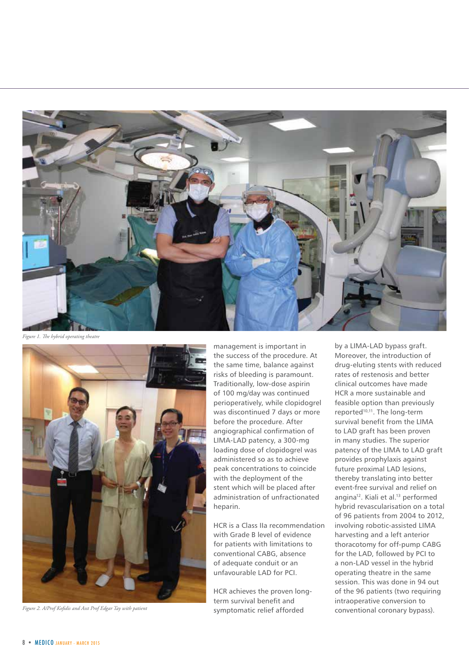

*Figure 1. The hybrid operating theatre*



*Figure 2. A/Prof Kofidis and Asst Prof Edgar Tay with patient* 

management is important in the success of the procedure. At the same time, balance against risks of bleeding is paramount. Traditionally, low-dose aspirin of 100 mg/day was continued perioperatively, while clopidogrel was discontinued 7 days or more before the procedure. After angiographical confirmation of LIMA-LAD patency, a 300-mg loading dose of clopidogrel was administered so as to achieve peak concentrations to coincide with the deployment of the stent which will be placed after administration of unfractionated heparin.

HCR is a Class IIa recommendation with Grade B level of evidence for patients with limitations to conventional CABG, absence of adequate conduit or an unfavourable LAD for PCI.

HCR achieves the proven longterm survival benefit and symptomatic relief afforded

by a LIMA-LAD bypass graft. Moreover, the introduction of drug-eluting stents with reduced rates of restenosis and better clinical outcomes have made HCR a more sustainable and feasible option than previously reported<sup>10,11</sup>. The long-term survival benefit from the LIMA to LAD graft has been proven in many studies. The superior patency of the LIMA to LAD graft provides prophylaxis against future proximal LAD lesions, thereby translating into better event-free survival and relief on angina<sup>12</sup>. Kiali et al.<sup>13</sup> performed hybrid revascularisation on a total of 96 patients from 2004 to 2012, involving robotic-assisted LIMA harvesting and a left anterior thoracotomy for off-pump CABG for the LAD, followed by PCI to a non-LAD vessel in the hybrid operating theatre in the same session. This was done in 94 out of the 96 patients (two requiring intraoperative conversion to conventional coronary bypass).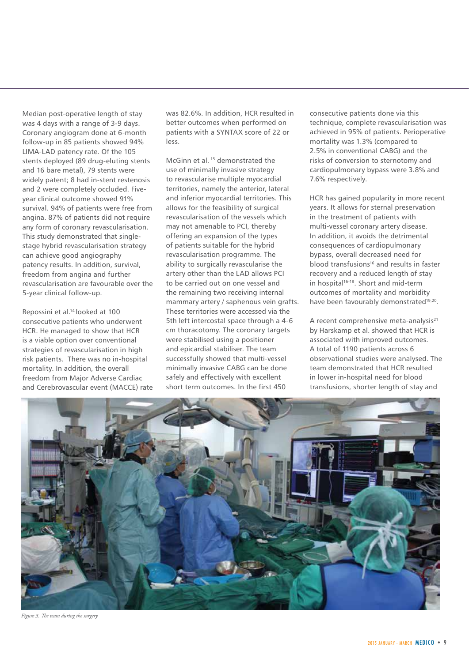Median post-operative length of stay was 4 days with a range of 3-9 days. Coronary angiogram done at 6-month follow-up in 85 patients showed 94% LIMA-LAD patency rate. Of the 105 stents deployed (89 drug-eluting stents and 16 bare metal), 79 stents were widely patent; 8 had in-stent restenosis and 2 were completely occluded. Fiveyear clinical outcome showed 91% survival. 94% of patients were free from angina. 87% of patients did not require any form of coronary revascularisation. This study demonstrated that singlestage hybrid revascularisation strategy can achieve good angiography patency results. In addition, survival, freedom from angina and further revascularisation are favourable over the 5-year clinical follow-up.

Repossini et al.14 looked at 100 consecutive patients who underwent HCR. He managed to show that HCR is a viable option over conventional strategies of revascularisation in high risk patients. There was no in-hospital mortality. In addition, the overall freedom from Major Adverse Cardiac and Cerebrovascular event (MACCE) rate was 82.6%. In addition, HCR resulted in better outcomes when performed on patients with a SYNTAX score of 22 or less.

McGinn et al. 15 demonstrated the use of minimally invasive strategy to revascularise multiple myocardial territories, namely the anterior, lateral and inferior myocardial territories. This allows for the feasibility of surgical revascularisation of the vessels which may not amenable to PCI, thereby offering an expansion of the types of patients suitable for the hybrid revascularisation programme. The ability to surgically revascularise the artery other than the LAD allows PCI to be carried out on one vessel and the remaining two receiving internal mammary artery / saphenous vein grafts. These territories were accessed via the 5th left intercostal space through a 4-6 cm thoracotomy. The coronary targets were stabilised using a positioner and epicardial stabiliser. The team successfully showed that multi-vessel minimally invasive CABG can be done safely and effectively with excellent short term outcomes. In the first 450

consecutive patients done via this technique, complete revascularisation was achieved in 95% of patients. Perioperative mortality was 1.3% (compared to 2.5% in conventional CABG) and the risks of conversion to sternotomy and cardiopulmonary bypass were 3.8% and 7.6% respectively.

HCR has gained popularity in more recent years. It allows for sternal preservation in the treatment of patients with multi-vessel coronary artery disease. In addition, it avoids the detrimental consequences of cardiopulmonary bypass, overall decreased need for  $\frac{1}{2}$ blood transfusions<sup>16</sup> and results in faster recovery and a reduced length of stay in hospital<sup>16-18</sup>. Short and mid-term outcomes of mortality and morbidity have been favourably demonstrated<sup>19,20</sup>.

A recent comprehensive meta-analysis<sup>21</sup> by Harskamp et al. showed that HCR is associated with improved outcomes. A total of 1190 patients across 6 observational studies were analysed. The team demonstrated that HCR resulted in lower in-hospital need for blood transfusions, shorter length of stay and



*Figure 3. The team during the surgery*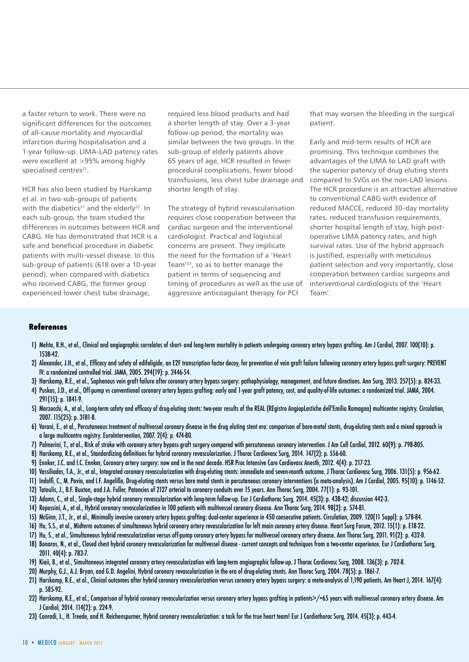a faster return to work. There were no significant differences for the outcomes of all-cause mortality and myocardial infarction during hospitalisation and a 1-year follow-up. LIMA-LAD patency rates were excellent at >95% among highly specialised centres<sup>21</sup>.

HCR has also been studied by Harskamp et al. in two sub-groups of patients with the diabetics<sup>21</sup> and the elderly<sup>22</sup>. In each sub-group, the team studied the differences in outcomes between HCR and CABG. He has demonstrated that HCR is a safe and beneficial procedure in diabetic patients with multi-vessel disease. In this sub-group of patients (618 over a 10-year period), when compared with diabetics who received CABG, the former group experienced lower chest tube drainage,

required less blood products and had a shorter length of stay. Over a 3-year follow-up period, the mortality was similar between the two groups. In the sub-group of elderly patients above 65 years of age, HCR resulted in fewer procedural complications, fewer blood transfusions, less chest tube drainage and shorter length of stay.

The strategy of hybrid revascularisation requires close cooperation between the cardiac surgeon and the interventional cardiologist. Practical and logistical concerns are present. They implicate the need for the formation of a 'Heart Team'23, so as to better manage the patient in terms of sequencing and timing of procedures as well as the use of aggressive anticoagulant therapy for PCI

that may worsen the bleeding in the surgical patient.

Early and mid-term results of HCR are promising. This technique combines the advantages of the LIMA to LAD graft with the superior patency of drug eluting stents compared to SVGs on the non-LAD lesions. The HCR procedure is an attractive alternative to conventional CABG with evidence of reduced MACCE, reduced 30-day mortality rates, reduced transfusion requirements, shorter hospital length of stay, high postoperative LIMA patency rates, and high survival rates. Use of the hybrid approach is justified, especially with meticulous patient selection and very importantly, close cooperation between cardiac surgeons and interventional cardiologists of the 'Heart Team'.

#### **References**

- 1) Mehta, R.H., et al., Clinical and angiographic correlates of short- and long-term mortality in patients undergoing coronary artery bypass grafting. Am J Cardiol, 2007. 100(10): p. 1538-42.
- 2) Alexander, J.H., et al., Efficacy and safety of edifoligide, an E2F transcription factor decoy, for prevention of vein graft failure following coronary artery bypass graft surgery: PREVENT IV: a randomized controlled trial. JAMA, 2005. 294(19): p. 2446-54.
- 3) Harskamp, R.E., et al., Saphenous vein graft failure after coronary artery bypass surgery: pathophysiology, management, and future directions. Ann Surg, 2013. 257(5): p. 824-33.
- 4) Puskas, J.D., et al., Off-pump vs conventional coronary artery bypass grafting: early and 1-year graft patency, cost, and quality-of-life outcomes: a randomized trial. JAMA, 2004. 291(15): p. 1841-9.
- 5) Marzocchi, A., et al., Long-term safety and efficacy of drug-eluting stents: two-year results of the REAL (REgistro AngiopLastiche dell'Emilia Romagna) multicenter registry. Circulation, 2007. 115(25): p. 3181-8.
- 6) Varani, E., et al., Percutaneous treatment of multivessel coronary disease in the drug eluting stent era: comparison of bare-metal stents, drug-eluting stents and a mixed approach in a large multicentre registry. EuroIntervention, 2007. 2(4): p. 474-80.
- 7) Palmerini, T., et al., Risk of stroke with coronary artery bypass graft surgery compared with percutaneous coronary intervention. J Am Coll Cardiol, 2012. 60(9): p. 798-805.
- 8) Harskamp, R.E., et al., Standardizing definitions for hybrid coronary revascularization. J Thorac Cardiovasc Surg, 2014. 147(2): p. 556-60.
- 9) Ennker, J.C. and I.C. Ennker, Coronary artery surgery: now and in the next decade. HSR Proc Intensive Care Cardiovasc Anesth, 2012. 4(4): p. 217-23.
- 10) Vassiliades, T.A., Jr., et al., Integrated coronary revascularization with drug-eluting stents: immediate and seven-month outcome. J Thorac Cardiovasc Surg, 2006. 131(5): p. 956-62.
- 11) Indolfi, C., M. Pavia, and I.F. Angelillo, Drug-eluting stents versus bare metal stents in percutaneous coronary interventions (a meta-analysis). Am J Cardiol, 2005. 95(10): p. 1146-52.
- 12) Tatoulis, J., B.F. Buxton, and J.A. Fuller, Patencies of 2127 arterial to coronary conduits over 15 years. Ann Thorac Surg, 2004. 77(1): p. 93-101.
- 13) Adams, C., et al., Single-stage hybrid coronary revascularization with long-term follow-up. Eur J Cardiothorac Surg, 2014. 45(3): p. 438-42; discussion 442-3.
- 14) Repossini, A., et al., Hybrid coronary revascularization in 100 patients with multivessel coronary disease. Ann Thorac Surg, 2014. 98(2): p. 574-81.
- 15) McGinn, J.T., Jr., et al., Minimally invasive coronary artery bypass grafting: dual-center experience in 450 consecutive patients. Circulation, 2009. 120(11 Suppl): p. S78-84.
- 16) Hu, S.S., et al., Midterm outcomes of simultaneous hybrid coronary artery revascularization for left main coronary artery disease. Heart Surg Forum, 2012. 15(1): p. E18-22.
- 17) Hu, S., et al., Simultaneous hybrid revascularization versus off-pump coronary artery bypass for multivessel coronary artery disease. Ann Thorac Surg, 2011. 91(2): p. 432-8.
- 18) Bonaros, N., et al., Closed chest hybrid coronary revascularization for multivessel disease current concepts and techniques from a two-center experience. Eur J Cardiothorac Surg, 2011. 40(4): p. 783-7.
- 19) Kiaii, B., et al., Simultaneous integrated coronary artery revascularization with long-term angiographic follow-up. J Thorac Cardiovasc Surg, 2008. 136(3): p. 702-8.
- 20) Murphy, G.J., A.J. Bryan, and G.D. Angelini, Hybrid coronary revascularization in the era of drug-eluting stents. Ann Thorac Surg, 2004. 78(5): p. 1861-7.
- 21) Harskamp, R.E., et al., Clinical outcomes after hybrid coronary revascularization versus coronary artery bypass surgery: a meta-analysis of 1,190 patients. Am Heart J, 2014. 167(4): p. 585-92.
- 22) Harskamp, R.E., et al., Comparison of hybrid coronary revascularization versus coronary artery bypass grafting in patients>/=65 years with multivessel coronary artery disease. Am J Cardiol, 2014. 114(2): p. 224-9.
- 23) Conradi, L., H. Treede, and H. Reichenspurner, Hybrid coronary revascularization: a task for the true heart team! Eur J Cardiothorac Surg, 2014. 45(3): p. 443-4.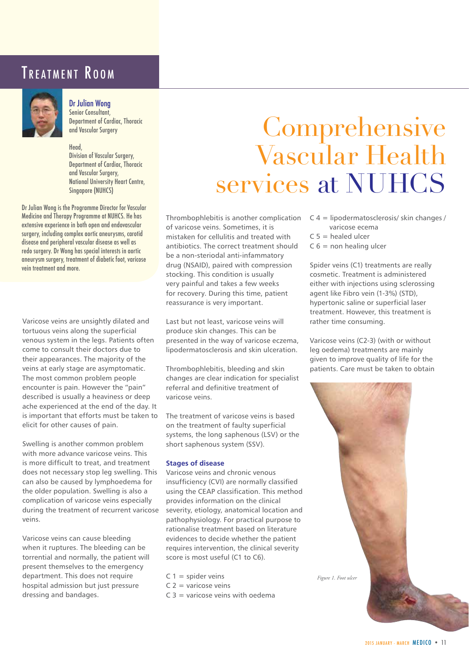### TREATMENT ROOM



Dr Julian Wong Senior Consultant, Department of Cardiac, Thoracic and Vascular Surgery

#### Head, Division of Vascular Surgery, Department of Cardiac, Thoracic and Vascular Surgery, National University Heart Centre, Singapore (NUHCS)

Dr Julian Wong is the Programme Director for Vascular Medicine and Therapy Programme at NUHCS. He has extensive experience in both open and endovascular surgery, including complex aortic aneurysms, carotid disease and peripheral vascular disease as well as redo surgery. Dr Wong has special interests in aortic aneurysm surgery, treatment of diabetic foot, varicose vein treatment and more.

Varicose veins are unsightly dilated and tortuous veins along the superficial venous system in the legs. Patients often come to consult their doctors due to their appearances. The majority of the veins at early stage are asymptomatic. The most common problem people encounter is pain. However the "pain" described is usually a heaviness or deep ache experienced at the end of the day. It is important that efforts must be taken to elicit for other causes of pain.

Swelling is another common problem with more advance varicose veins. This is more difficult to treat, and treatment does not necessary stop leg swelling. This can also be caused by lymphoedema for the older population. Swelling is also a complication of varicose veins especially during the treatment of recurrent varicose veins.

Varicose veins can cause bleeding when it ruptures. The bleeding can be torrential and normally, the patient will present themselves to the emergency department. This does not require hospital admission but just pressure dressing and bandages.

## Comprehensive Vascular Health services at NUHCS

Thrombophlebitis is another complication  $C = 4$  = lipodermatosclerosis/ skin changes / of varicose veins. Sometimes, it is mistaken for cellulitis and treated with antibiotics. The correct treatment should be a non-steriodal anti-infammatory drug (NSAID), paired with compression stocking. This condition is usually very painful and takes a few weeks for recovery. During this time, patient reassurance is very important.

Last but not least, varicose veins will produce skin changes. This can be presented in the way of varicose eczema, lipodermatosclerosis and skin ulceration.

Thrombophlebitis, bleeding and skin changes are clear indication for specialist referral and definitive treatment of varicose veins.

The treatment of varicose veins is based on the treatment of faulty superficial systems, the long saphenous (LSV) or the short saphenous system (SSV).

#### **Stages of disease**

Varicose veins and chronic venous insufficiency (CVI) are normally classified using the CEAP classification. This method provides information on the clinical severity, etiology, anatomical location and pathophysiology. For practical purpose to rationalise treatment based on literature evidences to decide whether the patient requires intervention, the clinical severity score is most useful (C1 to C6).

- $C =$ spider veins
- $C$  2 = varicose veins
- $C_1$  3 = varicose veins with oedema
- 
- varicose ecema
- $C 5$  = healed ulcer
- $C 6$  = non healing ulcer

Spider veins (C1) treatments are really cosmetic. Treatment is administered either with injections using sclerossing agent like Fibro vein (1-3%) (STD), hypertonic saline or superficial laser treatment. However, this treatment is rather time consuming.

Varicose veins (C2-3) (with or without leg oedema) treatments are mainly given to improve quality of life for the patients. Care must be taken to obtain

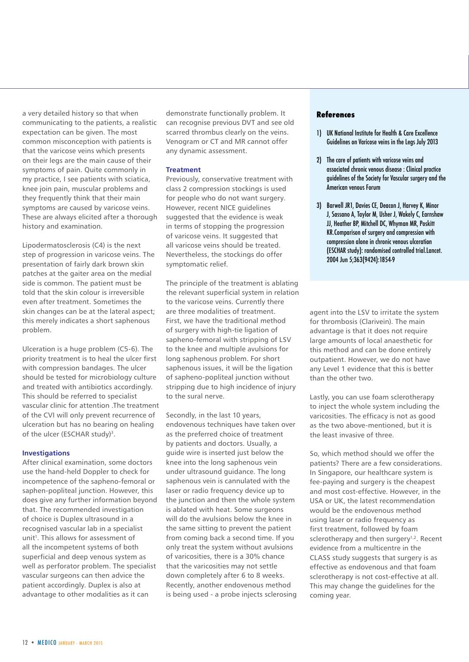a very detailed history so that when communicating to the patients, a realistic expectation can be given. The most common misconception with patients is that the varicose veins which presents on their legs are the main cause of their symptoms of pain. Quite commonly in my practice, I see patients with sciatica, knee join pain, muscular problems and they frequently think that their main symptoms are caused by varicose veins. These are always elicited after a thorough history and examination.

Lipodermatosclerosis (C4) is the next step of progression in varicose veins. The presentation of fairly dark brown skin patches at the gaiter area on the medial side is common. The patient must be told that the skin colour is irreversible even after treatment. Sometimes the skin changes can be at the lateral aspect; this merely indicates a short saphenous problem.

Ulceration is a huge problem (C5-6). The priority treatment is to heal the ulcer first with compression bandages. The ulcer should be tested for microbiology culture and treated with antibiotics accordingly. This should be referred to specialist vascular clinic for attention .The treatment of the CVI will only prevent recurrence of ulceration but has no bearing on healing of the ulcer (ESCHAR study)<sup>3</sup>.

#### **Investigations**

After clinical examination, some doctors use the hand-held Doppler to check for incompetence of the sapheno-femoral or saphen-popliteal junction. However, this does give any further information beyond that. The recommended investigation of choice is Duplex ultrasound in a recognised vascular lab in a specialist unit<sup>1</sup>. This allows for assessment of all the incompetent systems of both superficial and deep venous system as well as perforator problem. The specialist vascular surgeons can then advice the patient accordingly. Duplex is also at advantage to other modalities as it can

demonstrate functionally problem. It can recognise previous DVT and see old scarred thrombus clearly on the veins. Venogram or CT and MR cannot offer any dynamic assessment.

#### **Treatment**

Previously, conservative treatment with class 2 compression stockings is used for people who do not want surgery. However, recent NICE guidelines suggested that the evidence is weak in terms of stopping the progression of varicose veins. It suggested that all varicose veins should be treated. Nevertheless, the stockings do offer symptomatic relief.

The principle of the treatment is ablating the relevant superficial system in relation to the varicose veins. Currently there are three modalities of treatment. First, we have the traditional method of surgery with high-tie ligation of sapheno-femoral with stripping of LSV to the knee and multiple avulsions for long saphenous problem. For short saphenous issues, it will be the ligation of sapheno-popliteal junction without stripping due to high incidence of injury to the sural nerve.

Secondly, in the last 10 years, endovenous techniques have taken over as the preferred choice of treatment by patients and doctors. Usually, a guide wire is inserted just below the knee into the long saphenous vein under ultrasound guidance. The long saphenous vein is cannulated with the laser or radio frequency device up to the junction and then the whole system is ablated with heat. Some surgeons will do the avulsions below the knee in the same sitting to prevent the patient from coming back a second time. If you only treat the system without avulsions of varicosities, there is a 30% chance that the varicosities may not settle down completely after 6 to 8 weeks. Recently, another endovenous method is being used - a probe injects sclerosing

#### **References**

- 1) UK National Institute for Health & Care Excellence Guidelines on Varicose veins in the Legs July 2013
- 2) The care of patients with varicose veins and associated chronic venous disease : Clinical practice guidelines of the Society for Vascular surgery and the American venous Forum
- 3) Barwell JR1, Davies CE, Deacon J, Harvey K, Minor J, Sassano A, Taylor M, Usher J, Wakely C, Earnshaw JJ, Heather BP, Mitchell DC, Whyman MR, Poskitt KR.Comparison of surgery and compression with compression alone in chronic venous ulceration (ESCHAR study): randomised controlled trial.Lancet. 2004 Jun 5;363(9424):1854-9

agent into the LSV to irritate the system for thrombosis (Clarivein). The main advantage is that it does not require large amounts of local anaesthetic for this method and can be done entirely outpatient. However, we do not have any Level 1 evidence that this is better than the other two.

Lastly, you can use foam sclerotherapy to inject the whole system including the varicosities. The efficacy is not as good as the two above-mentioned, but it is the least invasive of three.

So, which method should we offer the patients? There are a few considerations. In Singapore, our healthcare system is fee-paying and surgery is the cheapest and most cost-effective. However, in the USA or UK, the latest recommendation would be the endovenous method using laser or radio frequency as first treatment, followed by foam sclerotherapy and then surgery<sup>1,2</sup>. Recent evidence from a multicentre in the CLASS study suggests that surgery is as effective as endovenous and that foam sclerotherapy is not cost-effective at all. This may change the guidelines for the coming year.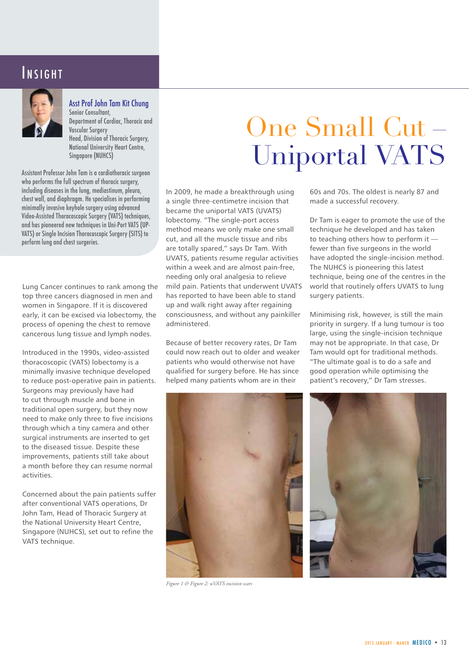### INSIGHT



Asst Prof John Tam Kit Chung Senior Consultant, Department of Cardiac, Thoracic and Vascular Surgery Head, Division of Thoracic Surgery, National University Heart Centre, Singapore (NUHCS)

Assistant Professor John Tam is a cardiothoracic surgeon who performs the full spectrum of thoracic surgery, including diseases in the lung, mediastinum, pleura, chest wall, and diaphragm. He specialises in performing minimally invasive keyhole surgery using advanced Video-Assisted Thoracoscopic Surgery (VATS) techniques, and has pioneered new techniques in Uni-Port VATS (UP-VATS) or Single Incision Thoracoscopic Surgery (SITS) to perform lung and chest surgeries.

Lung Cancer continues to rank among the top three cancers diagnosed in men and women in Singapore. If it is discovered early, it can be excised via lobectomy, the process of opening the chest to remove cancerous lung tissue and lymph nodes.

Introduced in the 1990s, video-assisted thoracoscopic (VATS) lobectomy is a minimally invasive technique developed to reduce post-operative pain in patients. Surgeons may previously have had to cut through muscle and bone in traditional open surgery, but they now need to make only three to five incisions through which a tiny camera and other surgical instruments are inserted to get to the diseased tissue. Despite these improvements, patients still take about a month before they can resume normal activities.

Concerned about the pain patients suffer after conventional VATS operations, Dr John Tam, Head of Thoracic Surgery at the National University Heart Centre, Singapore (NUHCS), set out to refine the VATS technique.

# One Small Cut – Uniportal VATS

In 2009, he made a breakthrough using a single three-centimetre incision that became the uniportal VATS (UVATS) lobectomy. "The single-port access method means we only make one small cut, and all the muscle tissue and ribs are totally spared," says Dr Tam. With UVATS, patients resume regular activities within a week and are almost pain-free, needing only oral analgesia to relieve mild pain. Patients that underwent UVATS has reported to have been able to stand up and walk right away after regaining consciousness, and without any painkiller administered.

Because of better recovery rates, Dr Tam could now reach out to older and weaker patients who would otherwise not have qualified for surgery before. He has since helped many patients whom are in their



*Figure 1 & Figure 2: uVATS incision scars*

60s and 70s. The oldest is nearly 87 and made a successful recovery.

Dr Tam is eager to promote the use of the technique he developed and has taken to teaching others how to perform it fewer than five surgeons in the world have adopted the single-incision method. The NUHCS is pioneering this latest technique, being one of the centres in the world that routinely offers UVATS to lung surgery patients.

Minimising risk, however, is still the main priority in surgery. If a lung tumour is too large, using the single-incision technique may not be appropriate. In that case, Dr Tam would opt for traditional methods. "The ultimate goal is to do a safe and good operation while optimising the patient's recovery," Dr Tam stresses.

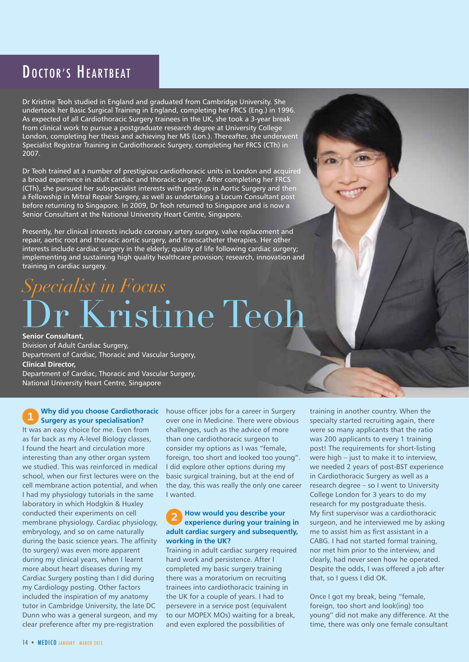### DOCTOR'S HEARTBEAT

Dr Kristine Teoh studied in England and graduated from Cambridge University. She undertook her Basic Surgical Training in England, completing her FRCS (Eng.) in 1996. As expected of all Cardiothoracic Surgery trainees in the UK, she took a 3-year break from clinical work to pursue a postgraduate research degree at University College London, completing her thesis and achieving her MS (Lon.). Thereafter, she underwent Specialist Registrar Training in Cardiothoracic Surgery, completing her FRCS (CTh) in 2007.

Dr Teoh trained at a number of prestigious cardiothoracic units in London and acquired a broad experience in adult cardiac and thoracic surgery. After completing her FRCS (CTh), she pursued her subspecialist interests with postings in Aortic Surgery and then a Fellowship in Mitral Repair Surgery, as well as undertaking a Locum Consultant post before returning to Singapore. In 2009, Dr Teoh returned to Singapore and is now a Senior Consultant at the National University Heart Centre, Singapore.

Presently, her clinical interests include coronary artery surgery, valve replacement and repair, aortic root and thoracic aortic surgery, and transcatheter therapies. Her other interests include cardiac surgery in the elderly; quality of life following cardiac surgery; implementing and sustaining high quality healthcare provision; research, innovation and training in cardiac surgery.

# r Kristine Teoh *Specialist in Focus*

**Senior Consultant,** Division of Adult Cardiac Surgery, Department of Cardiac, Thoracic and Vascular Surgery, **Clinical Director,**  Department of Cardiac, Thoracic and Vascular Surgery, National University Heart Centre, Singapore

**Why did you choose Cardiothoracic Surgery as your specialisation?** It was an easy choice for me. Even from as far back as my A-level Biology classes, I found the heart and circulation more interesting than any other organ system we studied. This was reinforced in medical school, when our first lectures were on the cell membrane action potential, and when I had my physiology tutorials in the same laboratory in which Hodgkin & Huxley conducted their experiments on cell membrane physiology. Cardiac physiology, embryology, and so on came naturally during the basic science years. The affinity (to surgery) was even more apparent during my clinical years, when I learnt more about heart diseases during my Cardiac Surgery posting than I did during my Cardiology posting. Other factors included the inspiration of my anatomy tutor in Cambridge University, the late DC Dunn who was a general surgeon, and my clear preference after my pre-registration

house officer jobs for a career in Surgery over one in Medicine. There were obvious challenges, such as the advice of more than one cardiothoracic surgeon to consider my options as I was "female, foreign, too short and looked too young". I did explore other options during my basic surgical training, but at the end of the day, this was really the only one career I wanted.

#### **How would you describe your experience during your training in adult cardiac surgery and subsequently, working in the UK?**

Training in adult cardiac surgery required hard work and persistence. After I completed my basic surgery training there was a moratorium on recruiting trainees into cardiothoracic training in the UK for a couple of years. I had to persevere in a service post (equivalent to our MOPEX MOs) waiting for a break, and even explored the possibilities of

training in another country. When the specialty started recruiting again, there were so many applicants that the ratio was 200 applicants to every 1 training post! The requirements for short-listing were high – just to make it to interview, we needed 2 years of post-BST experience in Cardiothoracic Surgery as well as a research degree – so I went to University College London for 3 years to do my research for my postgraduate thesis. My first supervisor was a cardiothoracic surgeon, and he interviewed me by asking me to assist him as first assistant in a CABG. I had not started formal training, nor met him prior to the interview, and clearly, had never seen how he operated. Despite the odds, I was offered a job after that, so I guess I did OK.

Once I got my break, being "female, foreign, too short and look(ing) too young" did not make any difference. At the time, there was only one female consultant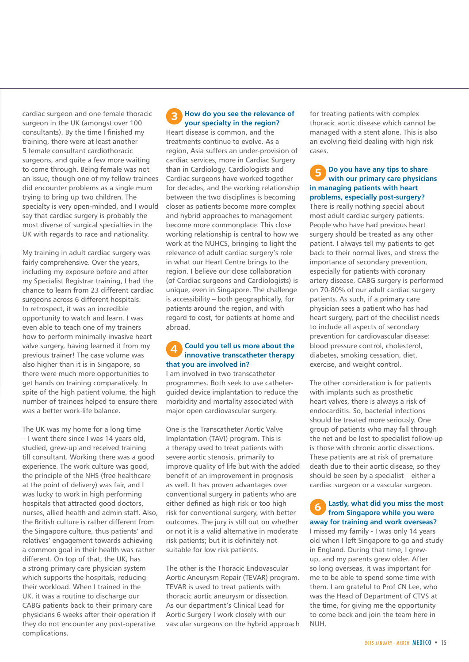cardiac surgeon and one female thoracic surgeon in the UK (amongst over 100 consultants). By the time I finished my training, there were at least another 5 female consultant cardiothoracic surgeons, and quite a few more waiting to come through. Being female was not an issue, though one of my fellow trainees did encounter problems as a single mum trying to bring up two children. The specialty is very open-minded, and I would say that cardiac surgery is probably the most diverse of surgical specialties in the UK with regards to race and nationality.

My training in adult cardiac surgery was fairly comprehensive. Over the years, including my exposure before and after my Specialist Registrar training, I had the chance to learn from 23 different cardiac surgeons across 6 different hospitals. In retrospect, it was an incredible opportunity to watch and learn. I was even able to teach one of my trainers how to perform minimally-invasive heart valve surgery, having learned it from my previous trainer! The case volume was also higher than it is in Singapore, so there were much more opportunities to get hands on training comparatively. In spite of the high patient volume, the high number of trainees helped to ensure there was a better work-life balance.

The UK was my home for a long time – I went there since I was 14 years old, studied, grew-up and received training till consultant. Working there was a good experience. The work culture was good, the principle of the NHS (free healthcare at the point of delivery) was fair, and I was lucky to work in high performing hospitals that attracted good doctors, nurses, allied health and admin staff. Also, the British culture is rather different from the Singapore culture, thus patients' and relatives' engagement towards achieving a common goal in their health was rather different. On top of that, the UK, has a strong primary care physician system which supports the hospitals, reducing their workload. When I trained in the UK, it was a routine to discharge our CABG patients back to their primary care physicians 6 weeks after their operation if they do not encounter any post-operative complications.

#### **How do you see the relevance of your specialty in the region?**

Heart disease is common, and the treatments continue to evolve. As a region, Asia suffers an under-provision of cardiac services, more in Cardiac Surgery than in Cardiology. Cardiologists and Cardiac surgeons have worked together for decades, and the working relationship between the two disciplines is becoming closer as patients become more complex and hybrid approaches to management become more commonplace. This close working relationship is central to how we work at the NUHCS, bringing to light the relevance of adult cardiac surgery's role in what our Heart Centre brings to the region. I believe our close collaboration (of Cardiac surgeons and Cardiologists) is unique, even in Singapore. The challenge is accessibility – both geographically, for patients around the region, and with regard to cost, for patients at home and abroad.

#### **Could you tell us more about the**   $\boldsymbol{\varDelta}$ **innovative transcatheter therapy that you are involved in?**

I am involved in two transcatheter programmes. Both seek to use catheterguided device implantation to reduce the morbidity and mortality associated with major open cardiovascular surgery.

One is the Transcatheter Aortic Valve Implantation (TAVI) program. This is a therapy used to treat patients with severe aortic stenosis, primarily to improve quality of life but with the added benefit of an improvement in prognosis as well. It has proven advantages over conventional surgery in patients who are either defined as high risk or too high risk for conventional surgery, with better outcomes. The jury is still out on whether or not it is a valid alternative in moderate risk patients; but it is definitely not suitable for low risk patients.

The other is the Thoracic Endovascular Aortic Aneurysm Repair (TEVAR) program. TEVAR is used to treat patients with thoracic aortic aneurysm or dissection. As our department's Clinical Lead for Aortic Surgery I work closely with our vascular surgeons on the hybrid approach for treating patients with complex thoracic aortic disease which cannot be managed with a stent alone. This is also an evolving field dealing with high risk cases.

#### **Do you have any tips to share**  5 **with our primary care physicians in managing patients with heart problems, especially post-surgery?**

There is really nothing special about most adult cardiac surgery patients. People who have had previous heart surgery should be treated as any other patient. I always tell my patients to get back to their normal lives, and stress the importance of secondary prevention, especially for patients with coronary artery disease. CABG surgery is performed on 70-80% of our adult cardiac surgery patients. As such, if a primary care physician sees a patient who has had heart surgery, part of the checklist needs to include all aspects of secondary prevention for cardiovascular disease: blood pressure control, cholesterol, diabetes, smoking cessation, diet, exercise, and weight control.

The other consideration is for patients with implants such as prosthetic heart valves, there is always a risk of endocarditis. So, bacterial infections should be treated more seriously. One group of patients who may fall through the net and be lost to specialist follow-up is those with chronic aortic dissections. These patients are at risk of premature death due to their aortic disease, so they should be seen by a specialist – either a cardiac surgeon or a vascular surgeon.

**Lastly, what did you miss the most from Singapore while you were away for training and work overseas?** I missed my family - I was only 14 years old when I left Singapore to go and study in England. During that time, I grewup, and my parents grew older. After so long overseas, it was important for me to be able to spend some time with them. I am grateful to Prof CN Lee, who was the Head of Department of CTVS at the time, for giving me the opportunity to come back and join the team here in NUH.